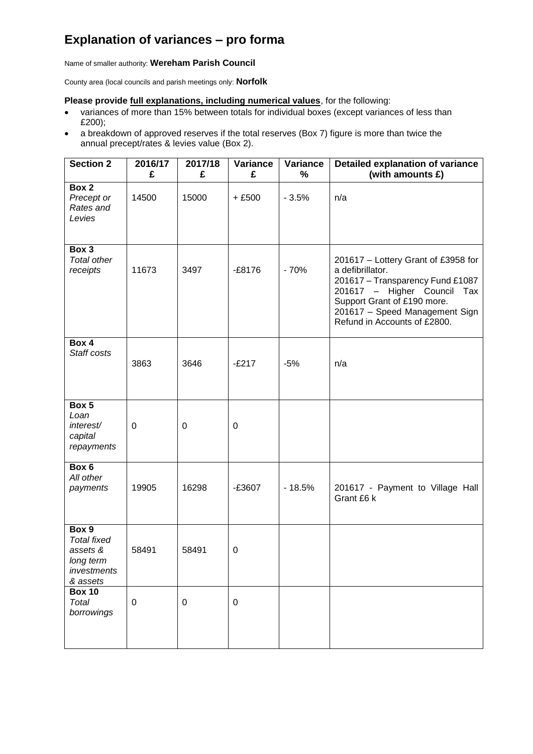## **Explanation of variances – pro forma**

Name of smaller authority: **Wereham Parish Council**

County area (local councils and parish meetings only: **Norfolk**

## **Please provide full explanations, including numerical values**, for the following:

- variances of more than 15% between totals for individual boxes (except variances of less than £200);
- a breakdown of approved reserves if the total reserves (Box 7) figure is more than twice the annual precept/rates & levies value (Box 2).

| <b>Section 2</b>                                                                | 2016/17<br>£     | 2017/18<br>£ | <b>Variance</b><br>£ | Variance<br>$\%$ | <b>Detailed explanation of variance</b><br>(with amounts £)                                                                                                                                                                    |
|---------------------------------------------------------------------------------|------------------|--------------|----------------------|------------------|--------------------------------------------------------------------------------------------------------------------------------------------------------------------------------------------------------------------------------|
| Box 2<br>Precept or<br>Rates and<br>Levies                                      | 14500            | 15000        | $+£500$              | $-3.5%$          | n/a                                                                                                                                                                                                                            |
| Box 3<br><b>Total other</b><br>receipts                                         | 11673            | 3497         | $-£8176$             | $-70%$           | 201617 - Lottery Grant of £3958 for<br>a defibrillator.<br>201617 - Transparency Fund £1087<br>201617 - Higher Council<br>Tax<br>Support Grant of £190 more.<br>201617 - Speed Management Sign<br>Refund in Accounts of £2800. |
| Box 4<br>Staff costs                                                            | 3863             | 3646         | $-E217$              | $-5%$            | n/a                                                                                                                                                                                                                            |
| Box 5<br>Loan<br>interest/<br>capital<br>repayments                             | $\boldsymbol{0}$ | 0            | $\mathbf 0$          |                  |                                                                                                                                                                                                                                |
| Box 6<br>All other<br>payments                                                  | 19905            | 16298        | $-£3607$             | $-18.5%$         | 201617 - Payment to Village Hall<br>Grant £6 k                                                                                                                                                                                 |
| Box 9<br><b>Total fixed</b><br>assets &<br>long term<br>investments<br>& assets | 58491            | 58491        | 0                    |                  |                                                                                                                                                                                                                                |
| <b>Box 10</b><br>Total<br>borrowings                                            | $\pmb{0}$        | $\pmb{0}$    | $\boldsymbol{0}$     |                  |                                                                                                                                                                                                                                |